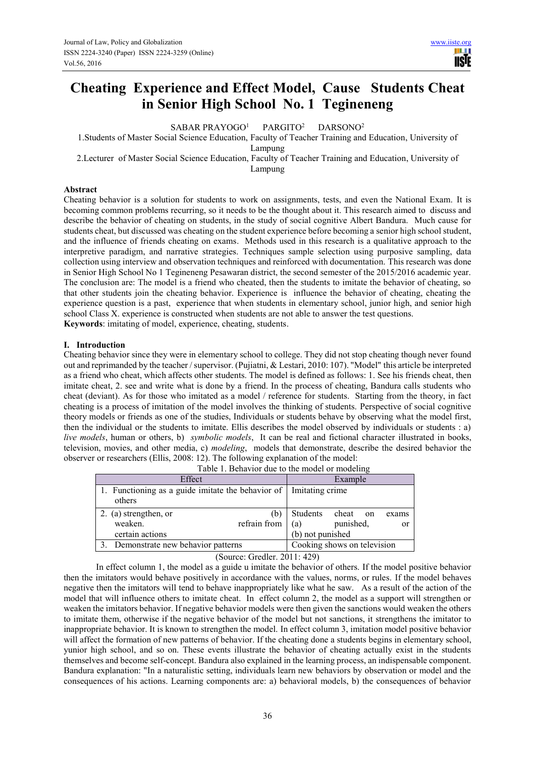# **Cheating Experience and Effect Model, Cause Students Cheat in Senior High School No. 1 Tegineneng**

SABAR PRAYOGO<sup>1</sup> PARGITO<sup>2</sup> DARSONO<sup>2</sup>

1.Students of Master Social Science Education, Faculty of Teacher Training and Education, University of

Lampung

2.Lecturer of Master Social Science Education, Faculty of Teacher Training and Education, University of Lampung

# **Abstract**

Cheating behavior is a solution for students to work on assignments, tests, and even the National Exam. It is becoming common problems recurring, so it needs to be the thought about it. This research aimed to discuss and describe the behavior of cheating on students, in the study of social cognitive Albert Bandura. Much cause for students cheat, but discussed was cheating on the student experience before becoming a senior high school student, and the influence of friends cheating on exams. Methods used in this research is a qualitative approach to the interpretive paradigm, and narrative strategies. Techniques sample selection using purposive sampling, data collection using interview and observation techniques and reinforced with documentation. This research was done in Senior High School No 1 Tegineneng Pesawaran district, the second semester of the 2015/2016 academic year. The conclusion are: The model is a friend who cheated, then the students to imitate the behavior of cheating, so that other students join the cheating behavior. Experience is influence the behavior of cheating, cheating the experience question is a past, experience that when students in elementary school, junior high, and senior high school Class X. experience is constructed when students are not able to answer the test questions. **Keywords**: imitating of model, experience, cheating, students.

## **I. Introduction**

Cheating behavior since they were in elementary school to college. They did not stop cheating though never found out and reprimanded by the teacher / supervisor. (Pujiatni, & Lestari, 2010: 107). "Model" this article be interpreted as a friend who cheat, which affects other students. The model is defined as follows: 1. See his friends cheat, then imitate cheat, 2. see and write what is done by a friend. In the process of cheating, Bandura calls students who cheat (deviant). As for those who imitated as a model / reference for students. Starting from the theory, in fact cheating is a process of imitation of the model involves the thinking of students. Perspective of social cognitive theory models or friends as one of the studies, Individuals or students behave by observing what the model first, then the individual or the students to imitate. Ellis describes the model observed by individuals or students : a) *live models*, human or others, b) *symbolic models*, It can be real and fictional character illustrated in books, television, movies, and other media, c) *modeling*, models that demonstrate, describe the desired behavior the observer or researchers (Ellis, 2008: 12). The following explanation of the model:

| Twore 1. Benavior and to the moder of moderning                               |                                      |  |  |
|-------------------------------------------------------------------------------|--------------------------------------|--|--|
| Effect                                                                        | Example                              |  |  |
| 1. Functioning as a guide imitate the behavior of   Imitating crime<br>others |                                      |  |  |
| 2. (a) strengthen, or<br>(b`                                                  | <b>Students</b><br>cheat on<br>exams |  |  |
| refrain from<br>weaken.                                                       | punished,<br>(a)<br><sub>or</sub>    |  |  |
| certain actions                                                               | (b) not punished                     |  |  |
| Demonstrate new behavior patterns                                             | Cooking shows on television          |  |  |

| Table 1. Behavior due to the model or modeling |  |  |  |
|------------------------------------------------|--|--|--|
|------------------------------------------------|--|--|--|

(Source: Gredler. 2011: 429)

In effect column 1, the model as a guide u imitate the behavior of others. If the model positive behavior then the imitators would behave positively in accordance with the values, norms, or rules. If the model behaves negative then the imitators will tend to behave inappropriately like what he saw. As a result of the action of the model that will influence others to imitate cheat. In effect column 2, the model as a support will strengthen or weaken the imitators behavior. If negative behavior models were then given the sanctions would weaken the others to imitate them, otherwise if the negative behavior of the model but not sanctions, it strengthens the imitator to inappropriate behavior. It is known to strengthen the model. In effect column 3, imitation model positive behavior will affect the formation of new patterns of behavior. If the cheating done a students begins in elementary school, yunior high school, and so on. These events illustrate the behavior of cheating actually exist in the students themselves and become self-concept. Bandura also explained in the learning process, an indispensable component. Bandura explanation: "In a naturalistic setting, individuals learn new behaviors by observation or model and the consequences of his actions. Learning components are: a) behavioral models, b) the consequences of behavior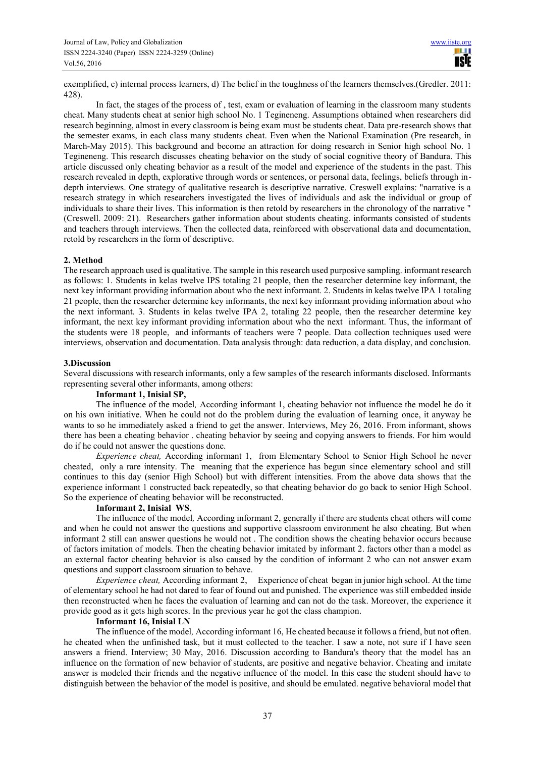exemplified, c) internal process learners, d) The belief in the toughness of the learners themselves.(Gredler. 2011: 428).

In fact, the stages of the process of , test, exam or evaluation of learning in the classroom many students cheat. Many students cheat at senior high school No. 1 Tegineneng. Assumptions obtained when researchers did research beginning, almost in every classroom is being exam must be students cheat. Data pre-research shows that the semester exams, in each class many students cheat. Even when the National Examination (Pre research, in March-May 2015). This background and become an attraction for doing research in Senior high school No. 1 Tegineneng. This research discusses cheating behavior on the study of social cognitive theory of Bandura. This article discussed only cheating behavior as a result of the model and experience of the students in the past. This research revealed in depth, explorative through words or sentences, or personal data, feelings, beliefs through indepth interviews. One strategy of qualitative research is descriptive narrative. Creswell explains: "narrative is a research strategy in which researchers investigated the lives of individuals and ask the individual or group of individuals to share their lives. This information is then retold by researchers in the chronology of the narrative " (Creswell. 2009: 21). Researchers gather information about students cheating. informants consisted of students and teachers through interviews. Then the collected data, reinforced with observational data and documentation, retold by researchers in the form of descriptive.

# **2. Method**

The research approach used is qualitative. The sample in this research used purposive sampling. informant research as follows: 1. Students in kelas twelve IPS totaling 21 people, then the researcher determine key informant, the next key informant providing information about who the next informant. 2. Students in kelas twelve IPA 1 totaling 21 people, then the researcher determine key informants, the next key informant providing information about who the next informant. 3. Students in kelas twelve IPA 2, totaling 22 people, then the researcher determine key informant, the next key informant providing information about who the next informant. Thus, the informant of the students were 18 people, and informants of teachers were 7 people. Data collection techniques used were interviews, observation and documentation. Data analysis through: data reduction, a data display, and conclusion.

## **3.Discussion**

Several discussions with research informants, only a few samples of the research informants disclosed. Informants representing several other informants, among others:

# **Informant 1, Inisial SP,**

The influence of the model*,* According informant 1, cheating behavior not influence the model he do it on his own initiative. When he could not do the problem during the evaluation of learning once, it anyway he wants to so he immediately asked a friend to get the answer. Interviews, Mey 26, 2016. From informant, shows there has been a cheating behavior . cheating behavior by seeing and copying answers to friends. For him would do if he could not answer the questions done.

*Experience cheat,* According informant 1, from Elementary School to Senior High School he never cheated, only a rare intensity. The meaning that the experience has begun since elementary school and still continues to this day (senior High School) but with different intensities. From the above data shows that the experience informant 1 constructed back repeatedly, so that cheating behavior do go back to senior High School. So the experience of cheating behavior will be reconstructed.

## **Informant 2, Inisial WS**,

The influence of the model*,* According informant 2, generally if there are students cheat others will come and when he could not answer the questions and supportive classroom environment he also cheating. But when informant 2 still can answer questions he would not . The condition shows the cheating behavior occurs because of factors imitation of models. Then the cheating behavior imitated by informant 2. factors other than a model as an external factor cheating behavior is also caused by the condition of informant 2 who can not answer exam questions and support classroom situation to behave.

*Experience cheat,* According informant 2, Experience of cheat began in junior high school. At the time of elementary school he had not dared to fear of found out and punished. The experience was still embedded inside then reconstructed when he faces the evaluation of learning and can not do the task. Moreover, the experience it provide good as it gets high scores. In the previous year he got the class champion.

# **Informant 16, Inisial LN**

The influence of the model*,* According informant 16, He cheated because it follows a friend, but not often. he cheated when the unfinished task, but it must collected to the teacher. I saw a note, not sure if I have seen answers a friend. Interview; 30 May, 2016. Discussion according to Bandura's theory that the model has an influence on the formation of new behavior of students, are positive and negative behavior. Cheating and imitate answer is modeled their friends and the negative influence of the model. In this case the student should have to distinguish between the behavior of the model is positive, and should be emulated. negative behavioral model that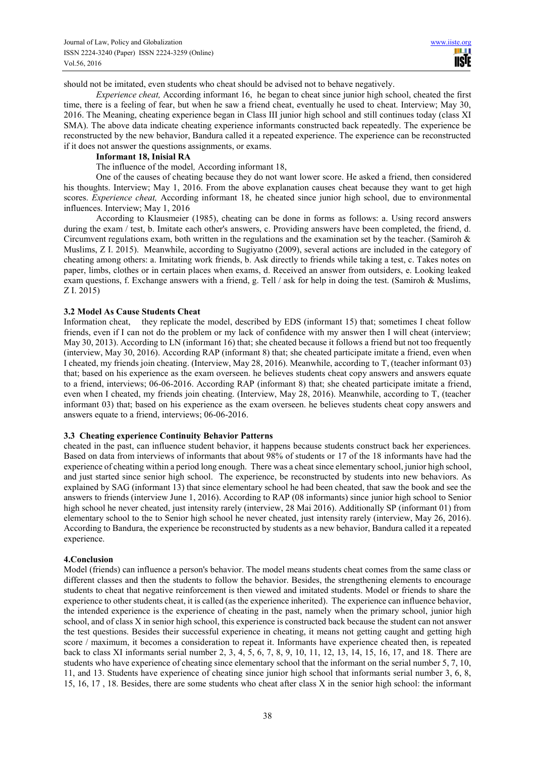should not be imitated, even students who cheat should be advised not to behave negatively.

*Experience cheat,* According informant 16, he began to cheat since junior high school, cheated the first time, there is a feeling of fear, but when he saw a friend cheat, eventually he used to cheat. Interview; May 30, 2016. The Meaning, cheating experience began in Class III junior high school and still continues today (class XI SMA). The above data indicate cheating experience informants constructed back repeatedly. The experience be reconstructed by the new behavior, Bandura called it a repeated experience. The experience can be reconstructed if it does not answer the questions assignments, or exams.

# **Informant 18, Inisial RA**

The influence of the model*,* According informant 18,

One of the causes of cheating because they do not want lower score. He asked a friend, then considered his thoughts. Interview; May 1, 2016. From the above explanation causes cheat because they want to get high scores. *Experience cheat,* According informant 18, he cheated since junior high school, due to environmental influences. Interview; May 1, 2016

According to Klausmeier (1985), cheating can be done in forms as follows: a. Using record answers during the exam / test, b. Imitate each other's answers, c. Providing answers have been completed, the friend, d. Circumvent regulations exam, both written in the regulations and the examination set by the teacher. (Samiroh  $\&$ Muslims, Z I. 2015). Meanwhile, according to Sugiyatno (2009), several actions are included in the category of cheating among others: a. Imitating work friends, b. Ask directly to friends while taking a test, c. Takes notes on paper, limbs, clothes or in certain places when exams, d. Received an answer from outsiders, e. Looking leaked exam questions, f. Exchange answers with a friend, g. Tell / ask for help in doing the test. (Samiroh & Muslims, Z I. 2015)

## **3.2 Model As Cause Students Cheat**

Information cheat, they replicate the model, described by EDS (informant 15) that; sometimes I cheat follow friends, even if I can not do the problem or my lack of confidence with my answer then I will cheat (interview; May 30, 2013). According to LN (informant 16) that; she cheated because it follows a friend but not too frequently (interview, May 30, 2016). According RAP (informant 8) that; she cheated participate imitate a friend, even when I cheated, my friends join cheating. (Interview, May 28, 2016). Meanwhile, according to T, (teacher informant 03) that; based on his experience as the exam overseen. he believes students cheat copy answers and answers equate to a friend, interviews; 06-06-2016. According RAP (informant 8) that; she cheated participate imitate a friend, even when I cheated, my friends join cheating. (Interview, May 28, 2016). Meanwhile, according to T, (teacher informant 03) that; based on his experience as the exam overseen. he believes students cheat copy answers and answers equate to a friend, interviews; 06-06-2016.

## **3.3 Cheating experience Continuity Behavior Patterns**

cheated in the past, can influence student behavior, it happens because students construct back her experiences. Based on data from interviews of informants that about 98% of students or 17 of the 18 informants have had the experience of cheating within a period long enough. There was a cheat since elementary school, junior high school, and just started since senior high school. The experience, be reconstructed by students into new behaviors. As explained by SAG (informant 13) that since elementary school he had been cheated, that saw the book and see the answers to friends (interview June 1, 2016). According to RAP (08 informants) since junior high school to Senior high school he never cheated, just intensity rarely (interview, 28 Mai 2016). Additionally SP (informant 01) from elementary school to the to Senior high school he never cheated, just intensity rarely (interview, May 26, 2016). According to Bandura, the experience be reconstructed by students as a new behavior, Bandura called it a repeated experience.

## **4.Conclusion**

Model (friends) can influence a person's behavior. The model means students cheat comes from the same class or different classes and then the students to follow the behavior. Besides, the strengthening elements to encourage students to cheat that negative reinforcement is then viewed and imitated students. Model or friends to share the experience to other students cheat, it is called (as the experience inherited). The experience can influence behavior, the intended experience is the experience of cheating in the past, namely when the primary school, junior high school, and of class X in senior high school, this experience is constructed back because the student can not answer the test questions. Besides their successful experience in cheating, it means not getting caught and getting high score / maximum, it becomes a consideration to repeat it. Informants have experience cheated then, is repeated back to class XI informants serial number 2, 3, 4, 5, 6, 7, 8, 9, 10, 11, 12, 13, 14, 15, 16, 17, and 18. There are students who have experience of cheating since elementary school that the informant on the serial number 5, 7, 10, 11, and 13. Students have experience of cheating since junior high school that informants serial number 3, 6, 8, 15, 16, 17 , 18. Besides, there are some students who cheat after class X in the senior high school: the informant